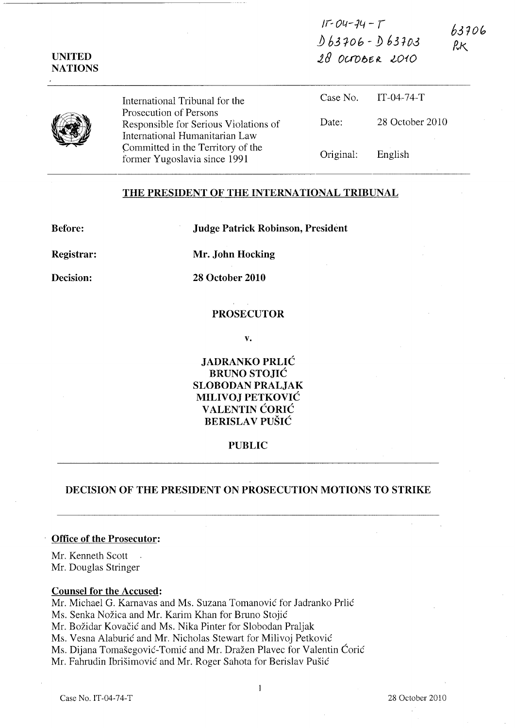| $11 - 04 - 14 - 1$ | 63706          |
|--------------------|----------------|
| $D63706 - D63703$  | R <sub>K</sub> |
| 2800006R2010       |                |

| Prosecution of Persons<br>International Humanitarian Law | International Tribunal for the                                    |           | Case No. IT-04-74-T |
|----------------------------------------------------------|-------------------------------------------------------------------|-----------|---------------------|
|                                                          | Responsible for Serious Violations of                             | Date:     | 28 October 2010     |
|                                                          | Committed in the Territory of the<br>former Yugoslavia since 1991 | Original: | English             |

# THE PRESIDENT OF THE INTERNATIONAL TRIBUNAL

Before:

UNITED **NATIONS** 

Judge Patrick Robinson, President

Registrar:

Mr. John Hocking

Decision:

28 October 2010

### PROSECUTOR

v.

JADRANKO PRLIC BRUNO STOJIC SLOBODAN PRALJAK MILIVOJ PETKOVIC **VALENTIN CORIC** BERISLAV PUŠIĆ

# PUBLIC

# DECISION OF THE PRESIDENT ON PROSECUTION MOTIONS TO STRIKE

# Office of the Prosecutor:

Mr. Kenneth Scott Mr. Douglas Stringer

#### Counsel for the Accused:

Mr. Michael G. Karnavas and Ms. Suzana Tomanovic for ladranko Prlic Ms. Senka Nožica and Mr. Karim Khan for Bruno Stojić Mr. Božidar Kovačić and Ms. Nika Pinter for Slobodan Praljak Ms. Vesna Alaburic and Mr. Nicholas Stewart for Milivoj Petkovic Ms. Dijana Tomasegovic-Tomic and Mr. Drazen Plavec for Valentin Coric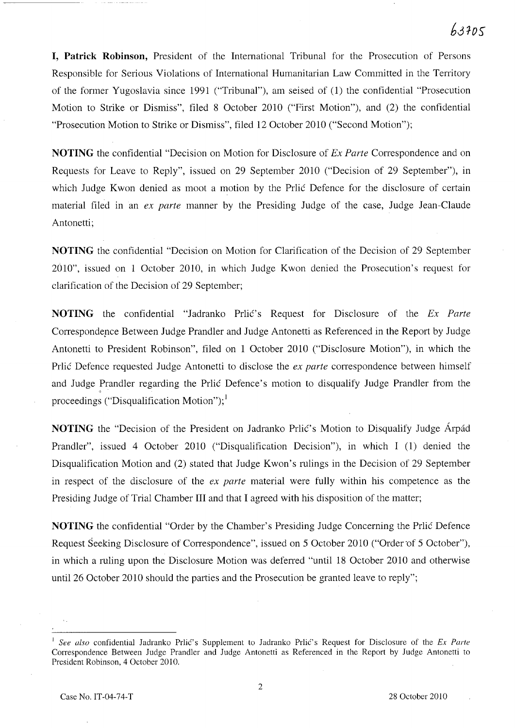# $6.3305$

**I, Patrick Robinson,** President of the International Tribunal for the Prosecution of Persons Responsible for Serious Violations of International Humanitarian Law Committed in the Territory of the former Yugoslavia since 1991 ("Tribunal"), am seised of (1) the confidential "Prosecution Motion to Strike or Dismiss", filed 8 October 2010 ("First Motion"), and (2) the confidential "Prosecution Motion to Strike or Dismiss", filed 12 October 2010 ("Second Motion");

**NOTING** the confidential "Decision on Motion for Disclosure of *Ex Parte* Correspondence and on Requests for Leave to Reply", issued on 29 September 2010 ("Decision of 29 September"), in which Judge Kwon denied as moot a motion by the Prlic Defence for the disclosure of certain material filed in an *ex parte* manner by the Presiding Judge of the case, Judge Jean-Claude Antonetti;

**NOTING** the confidential "Decision on Motion for Clarification of the Decision of 29 September 2010", issued on 1 October 2010, in which Judge Kwon denied the Prosecution's request for clarification of the Decision of 29 September;

**NOTING** the confidential "Jadranko Prlic's Request for Disclosure of the *Ex Parte*  Correspondence Between Judge Prandler and Judge Antonetti as Referenced in the Report by Judge Antonetti to President Robinson", filed on 1 October 2010 ("Disclosure Motion"), in which the Prlic Defence requested Judge Antonetti to disclose the *ex parte* correspondence between himself and Judge Prandler regarding the Prlic Defence's motion to disqualify Judge Prandler from the proceedings ("Disqualification Motion");<sup>1</sup>

**NOTING** the "Decision of the President on Jadranko Prlic's Motion to Disqualify Judge Arpad Prandler", issued 4 October 2010 ("Disqualification Decision"), in which I (1) denied the Disqualification Motion and (2) stated that Judge Kwon's rulings in the Decision of 29 September in respect of the disclosure of the *ex parte* material were fully within his competence as the Presiding Judge of Trial Chamber **III** and that I agreed with his disposition of the matter;

**NOTING** the confidential "Order by the Chamber's Presiding Judge Concerning the Prlic Defence Request Seeking Disclosure of Correspondence", issued on 5 October 2010 ("Order 'of 5 October"), in which a ruling upon the Disclosure Motion was deferred "until 18 October 2010 and otherwise until 26 October 2010 should the parties and the Prosecution be granted leave to reply";

*See also* confidential Jadranko Prlić's Supplement to Jadranko Prlić's Request for Disclosure of the *Ex Parte* Correspondence Between Judge Prandler and Judge Antonetti as Referenced in the Report by Judge Antonetti to President Robinson, 4 October 2010.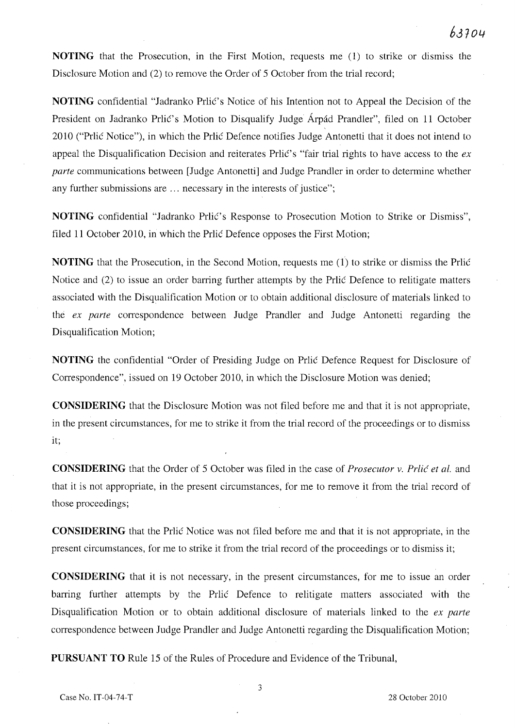**NOTING** that the Prosecution, in the First Motion, requests me (1) to strike or dismiss the Disclosure Motion and (2) to remove the Order of 5 October from the trial record;

**NOTING** confidential "Jadranko Prlic's Notice of his Intention not to Appeal the Decision of the President on Jadranko Prlić's Motion to Disqualify Judge Árpád Prandler", filed on 11 October 2010 ("Prlic Notice"), in which the Prlic Defence notifies Judge Antonetti that it does not intend to appeal the Disqualification Decision and reiterates Prlic's "fair trial rights to have access to the *ex parte* communications between [Judge Antonetti] and Judge Prandler in order to determine whether any further submissions are ... necessary in the interests of justice";

**NOTING** confidential "Jadranko Prlic's Response to Prosecution Motion to Strike or Dismiss", filed 11 October 2010, in which the Prlic Defence opposes the First Motion;

**NOTING** that the Prosecution, in the Second Motion, requests me (1) to strike or dismiss the Prlic Notice and (2) to issue an order barring further attempts by the Prlic Defence to relitigate matters associated with the Disqualification Motion or to obtain additional disclosure of materials linked to the *ex parte* correspondence between Judge Prandler and Judge Antonetti regarding the Disqualification Motion;

**NOTING** the confidential "Order of Presiding Judge on Prlic Defence Request for Disclosure of Correspondence", issued on 19 October 2010, in which the Disclosure Motion was denied;

**CONSIDERING** that the Disclosure Motion was not filed before me and that it is not appropriate, in the present circumstances, for me to strike it from the trial record of the proceedings or to dismiss it;

**CONSIDERING** that the Order of 5 October was filed in the case of *Prosecutor* v. *Prlic et al.* and that it is not appropriate, in the present circumstances, for me to remove it from the trial record of those proceedings;

**CONSIDERING** that the Prlic Notice was not filed before me and that it is not appropriate, in the present circumstances, for me to strike it from the trial record of the proceedings or to dismiss it;

**CONSIDERING** that it is not necessary, in the present circumstances, for me to issue an order barring further attempts by the Prlic Defence to relitigate matters associated with the Disqualification Motion or to obtain additional disclosure of materials linked to the *ex parte*  correspondence between Judge Prandler and Judge Antonetti regarding the Disqualification Motion;

**PURSUANT TO** Rule 15 of the Rules of Procedure and Evidence of the Tribunal,